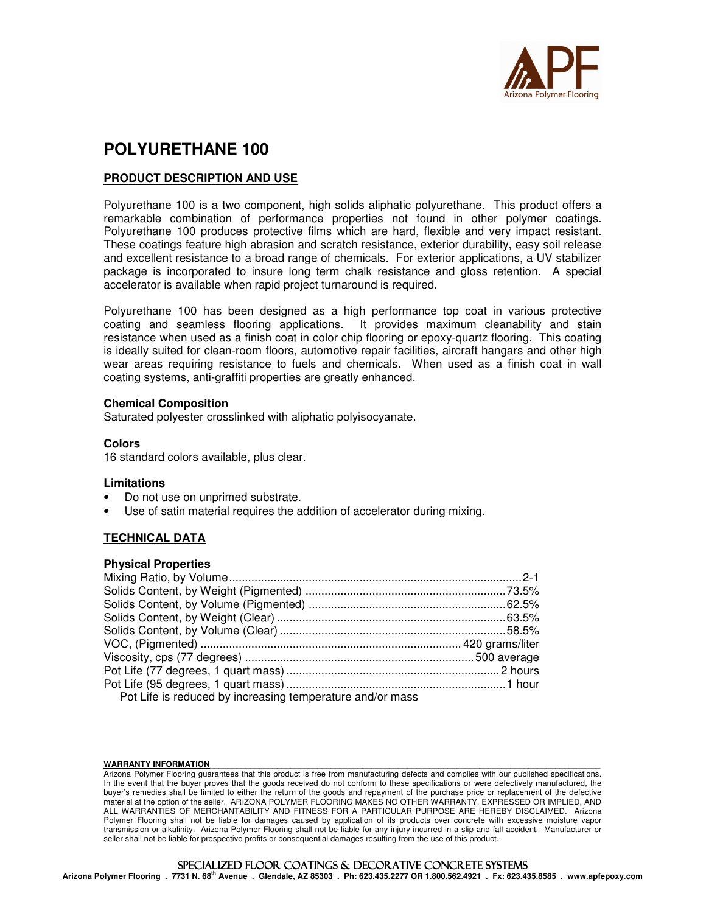

# **POLYURETHANE 100**

## **PRODUCT DESCRIPTION AND USE**

Polyurethane 100 is a two component, high solids aliphatic polyurethane. This product offers a remarkable combination of performance properties not found in other polymer coatings. Polyurethane 100 produces protective films which are hard, flexible and very impact resistant. These coatings feature high abrasion and scratch resistance, exterior durability, easy soil release and excellent resistance to a broad range of chemicals. For exterior applications, a UV stabilizer package is incorporated to insure long term chalk resistance and gloss retention. A special accelerator is available when rapid project turnaround is required.

Polyurethane 100 has been designed as a high performance top coat in various protective coating and seamless flooring applications. It provides maximum cleanability and stain resistance when used as a finish coat in color chip flooring or epoxy-quartz flooring. This coating is ideally suited for clean-room floors, automotive repair facilities, aircraft hangars and other high wear areas requiring resistance to fuels and chemicals. When used as a finish coat in wall coating systems, anti-graffiti properties are greatly enhanced.

#### **Chemical Composition**

Saturated polyester crosslinked with aliphatic polyisocyanate.

### **Colors**

16 standard colors available, plus clear.

#### **Limitations**

- Do not use on unprimed substrate.
- Use of satin material requires the addition of accelerator during mixing.

# **TECHNICAL DATA**

#### **Physical Properties**

| Pot Life is reduced by increasing temperature and/or mass |  |
|-----------------------------------------------------------|--|

#### **WARRANTY INFORMATION\_\_\_\_\_\_\_\_\_\_\_\_\_\_\_\_\_\_\_\_\_\_\_\_\_\_\_\_\_\_\_\_\_\_\_\_\_\_\_\_\_\_\_\_\_\_\_\_\_\_\_\_\_\_\_\_\_\_\_\_\_\_\_\_\_\_\_\_\_\_\_\_\_\_\_\_\_\_\_\_\_\_\_\_\_\_\_**

Arizona Polymer Flooring guarantees that this product is free from manufacturing defects and complies with our published specifications. In the event that the buyer proves that the goods received do not conform to these specifications or were defectively manufactured, the buyer's remedies shall be limited to either the return of the goods and repayment of the purchase price or replacement of the defective material at the option of the seller. ARIZONA POLYMER FLOORING MAKES NO OTHER WARRANTY, EXPRESSED OR IMPLIED, AND ALL WARRANTIES OF MERCHANTABILITY AND FITNESS FOR A PARTICULAR PURPOSE ARE HEREBY DISCLAIMED. Arizona Polymer Flooring shall not be liable for damages caused by application of its products over concrete with excessive moisture vapor transmission or alkalinity. Arizona Polymer Flooring shall not be liable for any injury incurred in a slip and fall accident. Manufacturer or seller shall not be liable for prospective profits or consequential damages resulting from the use of this product.

#### SPECIALIZED FLOOR COATINGS & DECORATIVE CONCRETE SYSTEMS **Arizona Polymer Flooring . 7731 N. 68th Avenue . Glendale, AZ 85303 . Ph: 623.435.2277 OR 1.800.562.4921 . Fx: 623.435.8585 . www.apfepoxy.com**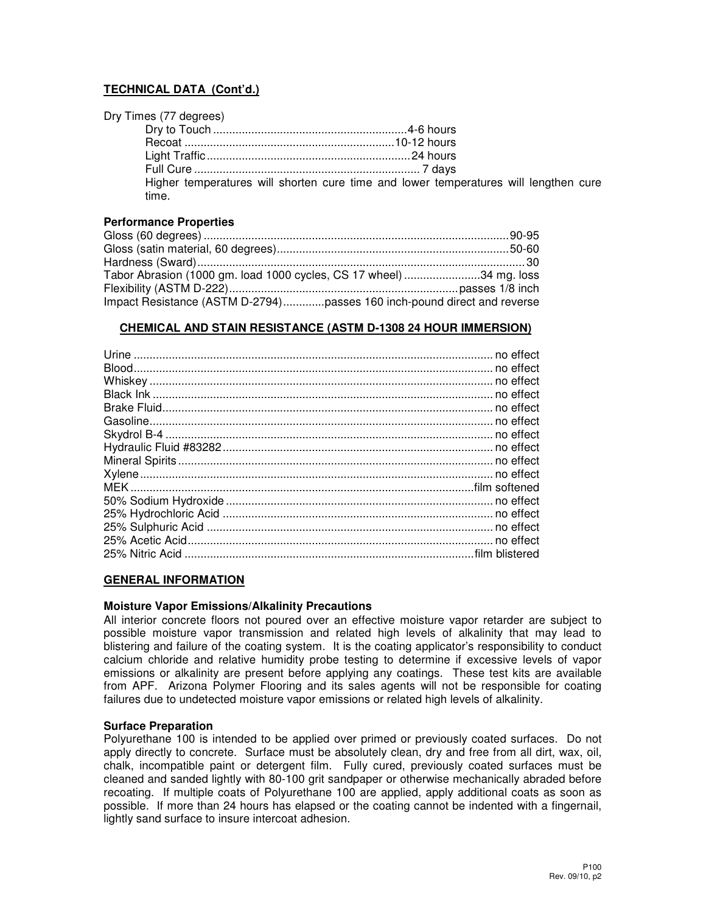# **TECHNICAL DATA (Cont'd.)**

|  |  |  |  | Dry Times (77 degrees) |
|--|--|--|--|------------------------|
|--|--|--|--|------------------------|

| time. | Higher temperatures will shorten cure time and lower temperatures will lengthen cure |
|-------|--------------------------------------------------------------------------------------|

#### **Performance Properties**

| Tabor Abrasion (1000 gm. load 1000 cycles, CS 17 wheel) 34 mg. loss     |  |
|-------------------------------------------------------------------------|--|
|                                                                         |  |
| Impact Resistance (ASTM D-2794)passes 160 inch-pound direct and reverse |  |

### **CHEMICAL AND STAIN RESISTANCE (ASTM D-1308 24 HOUR IMMERSION)**

## **GENERAL INFORMATION**

#### **Moisture Vapor Emissions/Alkalinity Precautions**

All interior concrete floors not poured over an effective moisture vapor retarder are subject to possible moisture vapor transmission and related high levels of alkalinity that may lead to blistering and failure of the coating system. It is the coating applicator's responsibility to conduct calcium chloride and relative humidity probe testing to determine if excessive levels of vapor emissions or alkalinity are present before applying any coatings. These test kits are available from APF. Arizona Polymer Flooring and its sales agents will not be responsible for coating failures due to undetected moisture vapor emissions or related high levels of alkalinity.

#### **Surface Preparation**

Polyurethane 100 is intended to be applied over primed or previously coated surfaces. Do not apply directly to concrete. Surface must be absolutely clean, dry and free from all dirt, wax, oil, chalk, incompatible paint or detergent film. Fully cured, previously coated surfaces must be cleaned and sanded lightly with 80-100 grit sandpaper or otherwise mechanically abraded before recoating. If multiple coats of Polyurethane 100 are applied, apply additional coats as soon as possible. If more than 24 hours has elapsed or the coating cannot be indented with a fingernail, lightly sand surface to insure intercoat adhesion.